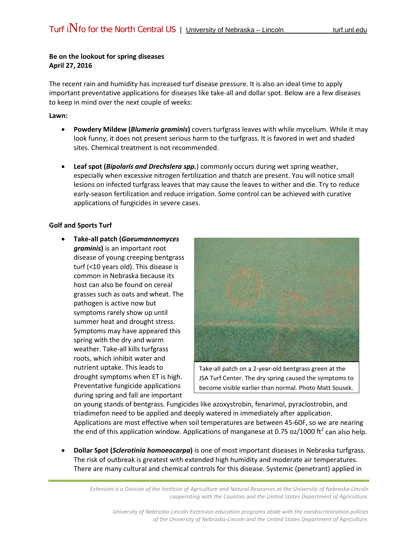## **Be on the lookout for spring diseases April 27, 2016**

The recent rain and humidity has increased turf disease pressure. It is also an ideal time to apply important preventative applications for diseases like take-all and dollar spot. Below are a few diseases to keep in mind over the next couple of weeks:

## **Lawn:**

- **Powdery Mildew (***Blumeria graminis***)** covers turfgrass leaves with while mycelium. While it may look funny, it does not present serious harm to the turfgrass. It is favored in wet and shaded sites. Chemical treatment is not recommended.
- **Leaf spot (***Bipolaris and Drechslera spp.*) commonly occurs during wet spring weather, especially when excessive nitrogen fertilization and thatch are present. You will notice small lesions on infected turfgrass leaves that may cause the leaves to wither and die. Try to reduce early-season fertilization and reduce irrigation. Some control can be achieved with curative applications of fungicides in severe cases.

## **Golf and Sports Turf**

• **Take-all patch (***Gaeumannomyces graminis***)** is an important root disease of young creeping bentgrass turf (<10 years old). This disease is common in Nebraska because its host can also be found on cereal grasses such as oats and wheat. The pathogen is active now but symptoms rarely show up until summer heat and drought stress. Symptoms may have appeared this spring with the dry and warm weather. Take-all kills turfgrass roots, which inhibit water and nutrient uptake. This leads to drought symptoms when ET is high. Preventative fungicide applications during spring and fall are important



Take-all patch on a 2-year-old bentgrass green at the JSA Turf Center. The dry spring caused the symptoms to become visible earlier than normal. Photo Matt Sousek.

on young stands of bentgrass. Fungicides like azoxystrobin, fenarimol, pyraclostrobin, and triadimefon need to be applied and deeply watered in immediately after application. Applications are most effective when soil temperatures are between 45-60F, so we are nearing the end of this application window. Applications of manganese at 0.75 oz/1000 ft<sup>2</sup> can also help.

• **Dollar Spot (***Sclerotinia homoeocarpa***)** is one of most important diseases in Nebraska turfgrass. The risk of outbreak is greatest with extended high humidity and moderate air temperatures. There are many cultural and chemical controls for this disease. Systemic (penetrant) applied in

*Extension is a Division of the Institute of Agriculture and Natural Resources at the University of Nebraska-Lincoln cooperating with the Counties and the United States Department of Agriculture.*

*University of Nebraska-Lincoln Extension education programs abide with the nondiscrimination policies of the University of Nebraska-Lincoln and the United States Department of Agriculture.*